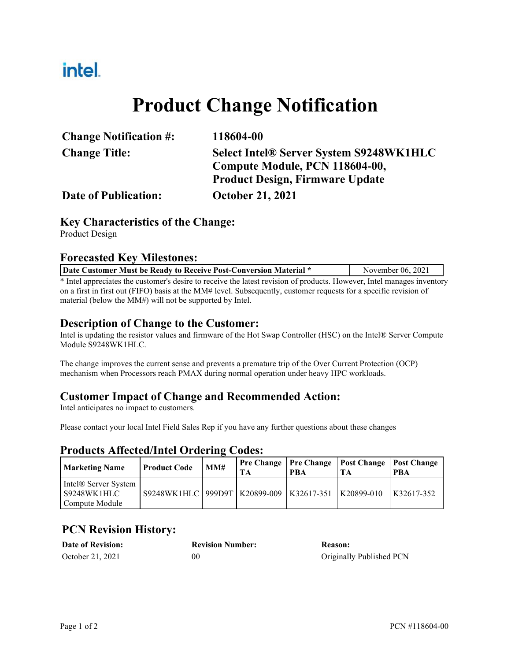# intel.

# **Product Change Notification**

| <b>Change Notification #:</b> | 118604-00                                      |
|-------------------------------|------------------------------------------------|
| <b>Change Title:</b>          | <b>Select Intel® Server System S9248WK1HLC</b> |
|                               | Compute Module, PCN 118604-00,                 |
|                               | <b>Product Design, Firmware Update</b>         |
| <b>Date of Publication:</b>   | <b>October 21, 2021</b>                        |

#### **Key Characteristics of the Change:**

Product Design

#### **Forecasted Key Milestones:**

| Date Customer Must be Ready to Receive Post-Conversion Material *                                                     | November 06, 2021 |  |
|-----------------------------------------------------------------------------------------------------------------------|-------------------|--|
| * Intel approciates the customer's desire to receive the latest revision of products. However, Intel manages inventor |                   |  |

Intel appreciates the customer's desire to receive the latest revision of products. However, Intel manages inventory on a first in first out (FIFO) basis at the MM# level. Subsequently, customer requests for a specific revision of material (below the MM#) will not be supported by Intel.

#### **Description of Change to the Customer:**

Intel is updating the resistor values and firmware of the Hot Swap Controller (HSC) on the Intel® Server Compute Module S9248WK1HLC.

The change improves the current sense and prevents a premature trip of the Over Current Protection (OCP) mechanism when Processors reach PMAX during normal operation under heavy HPC workloads.

#### **Customer Impact of Change and Recommended Action:**

Intel anticipates no impact to customers.

Please contact your local Intel Field Sales Rep if you have any further questions about these changes

#### **Products Affected/Intel Ordering Codes:**

| <b>Marketing Name</b>                                 | <b>Product Code</b>                            | MM# | TА | PBA | <b>Pre Change   Pre Change   Post Change   Post Change</b> | <b>PBA</b>   |
|-------------------------------------------------------|------------------------------------------------|-----|----|-----|------------------------------------------------------------|--------------|
| Intel® Server System<br>S9248WK1HLC<br>Compute Module | S9248WK1HLC   999D9T   K20899-009   K32617-351 |     |    |     | K20899-010                                                 | $K32617-352$ |

### **PCN Revision History:**

| <b>Date of Revision:</b> | <b>Revision Number:</b> | Reason:                  |
|--------------------------|-------------------------|--------------------------|
| October 21, 2021         | 00                      | Originally Published PCN |